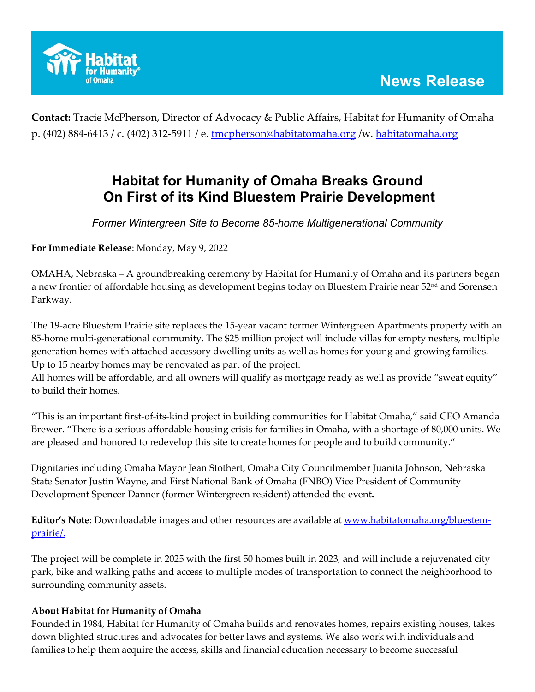

**Contact:** Tracie McPherson, Director of Advocacy & Public Affairs, Habitat for Humanity of Omaha p. (402) 884-6413 / c. (402) 312-5911 / e. [tmcpherson@habitatomaha.org](mailto:tmcpherson@habitatomaha.org) /w. [habitatomaha.org](http://www.habitatomaha.org/)

## **Habitat for Humanity of Omaha Breaks Ground On First of its Kind Bluestem Prairie Development**

*Former Wintergreen Site to Become 85-home Multigenerational Community*

**For Immediate Release**: Monday, May 9, 2022

OMAHA, Nebraska – A groundbreaking ceremony by Habitat for Humanity of Omaha and its partners began a new frontier of affordable housing as development begins today on Bluestem Prairie near  $52<sup>nd</sup>$  and Sorensen Parkway.

The 19-acre Bluestem Prairie site replaces the 15-year vacant former Wintergreen Apartments property with an 85-home multi-generational community. The \$25 million project will include villas for empty nesters, multiple generation homes with attached accessory dwelling units as well as homes for young and growing families. Up to 15 nearby homes may be renovated as part of the project.

All homes will be affordable, and all owners will qualify as mortgage ready as well as provide "sweat equity" to build their homes.

"This is an important first-of-its-kind project in building communities for Habitat Omaha," said CEO Amanda Brewer. "There is a serious affordable housing crisis for families in Omaha, with a shortage of 80,000 units. We are pleased and honored to redevelop this site to create homes for people and to build community."

Dignitaries including Omaha Mayor Jean Stothert, Omaha City Councilmember Juanita Johnson, Nebraska State Senator Justin Wayne, and First National Bank of Omaha (FNBO) Vice President of Community Development Spencer Danner (former Wintergreen resident) attended the event**.**

**Editor's Note**: Downloadable images and other resources are available at [www.habitatomaha.org/bluestem](http://www.habitatomaha.org/bluestem-prairie/)[prairie/.](http://www.habitatomaha.org/bluestem-prairie/)

The project will be complete in 2025 with the first 50 homes built in 2023, and will include a rejuvenated city park, bike and walking paths and access to multiple modes of transportation to connect the neighborhood to surrounding community assets.

## **About Habitat for Humanity of Omaha**

Founded in 1984, Habitat for Humanity of Omaha builds and renovates homes, repairs existing houses, takes down blighted structures and advocates for better laws and systems. We also work with individuals and families to help them acquire the access, skills and financial education necessary to become successful